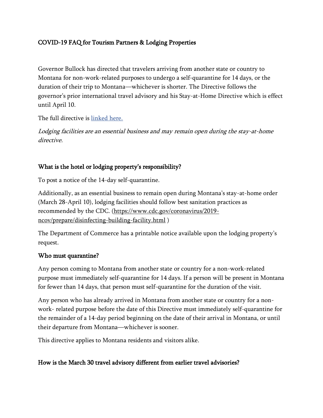# COVID-19 FAQ for Tourism Partners & Lodging Properties

Governor Bullock has directed that travelers arriving from another state or country to Montana for non-work-related purposes to undergo a self-quarantine for 14 days, or the duration of their trip to Montana—whichever is shorter. The Directive follows the governor's prior international travel advisory and his Stay-at-Home Directive which is effect until April 10.

The full directive is [linked here.](http://governor.mt.gov/Portals/16/Quarantine%20for%20Travelers.pdf?ver=2020-03-30-170637-190)

Lodging facilities are an essential business and may remain open during the stay-at-home directive.

## What is the hotel or lodging property's responsibility?

To post a notice of the 14-day self-quarantine.

Additionally, as an essential business to remain open during Montana's stay-at-home order (March 28-April 10), lodging facilities should follow best sanitation practices as recommended by the CDC. [\(https://www.cdc.gov/coronavirus/2019](https://www.cdc.gov/coronavirus/2019-ncov/prepare/disinfecting-building-facility.html) [ncov/prepare/disinfecting-building-facility.html](https://www.cdc.gov/coronavirus/2019-ncov/prepare/disinfecting-building-facility.html) )

The Department of Commerce has a printable notice available upon the lodging property's request.

### Who must quarantine?

Any person coming to Montana from another state or country for a non-work-related purpose must immediately self-quarantine for 14 days. If a person will be present in Montana for fewer than 14 days, that person must self-quarantine for the duration of the visit.

Any person who has already arrived in Montana from another state or country for a nonwork- related purpose before the date of this Directive must immediately self-quarantine for the remainder of a 14-day period beginning on the date of their arrival in Montana, or until their departure from Montana—whichever is sooner.

This directive applies to Montana residents and visitors alike.

## How is the March 30 travel advisory different from earlier travel advisories?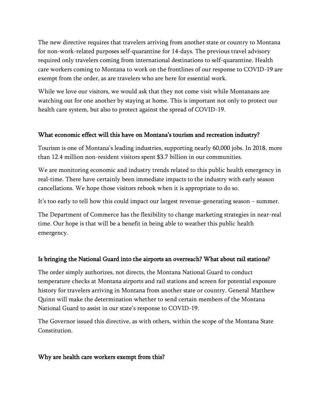The new directive requires that travelers arriving from another state or country to Montana for non-work-related purposes self-quarantine for 14-days. The previous travel advisory required only travelers coming from international destinations to self-quarantine. Health care workers coming to Montana to work on the frontlines of our response to COVID-19 are exempt from the order, as are travelers who are here for essential work.

While we love our visitors, we would ask that they not come visit while Montanans are watching out for one another by staying at home. This is important not only to protect our health care system, but also to protect against the spread of COVID-19.

### What economic effect will this have on Montana's tourism and recreation industry?

Tourism is one of Montana's leading industries, supporting nearly 60,000 jobs. In 2018, more than 12.4 million non-resident visitors spent \$3.7 billion in our communities.

We are monitoring economic and industry trends related to this public health emergency in real-time. There have certainly been immediate impacts to the industry with early season cancellations. We hope those visitors rebook when it is appropriate to do so.

It's too early to tell how this could impact our largest revenue-generating season – summer.

The Department of Commerce has the flexibility to change marketing strategies in near-real time. Our hope is that will be a benefit in being able to weather this public health emergency.

## Is bringing the National Guard into the airports an overreach? What about rail stations?

The order simply authorizes, not directs, the Montana National Guard to conduct temperature checks at Montana airports and rail stations and screen for potential exposure history for travelers arriving in Montana from another state or country. General Matthew Quinn will make the determination whether to send certain members of the Montana National Guard to assist in our state's response to COVID-19.

The Governor issued this directive, as with others, within the scope of the Montana State Constitution.

### Why are health care workers exempt from this?